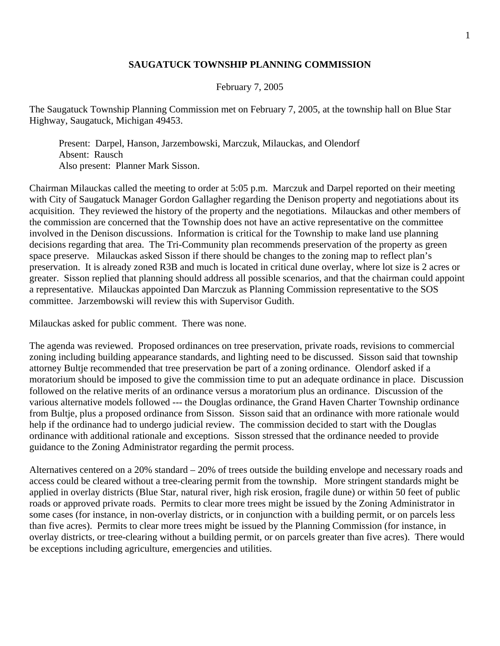## **SAUGATUCK TOWNSHIP PLANNING COMMISSION**

February 7, 2005

The Saugatuck Township Planning Commission met on February 7, 2005, at the township hall on Blue Star Highway, Saugatuck, Michigan 49453.

 Present: Darpel, Hanson, Jarzembowski, Marczuk, Milauckas, and Olendorf Absent: Rausch Also present: Planner Mark Sisson.

Chairman Milauckas called the meeting to order at 5:05 p.m. Marczuk and Darpel reported on their meeting with City of Saugatuck Manager Gordon Gallagher regarding the Denison property and negotiations about its acquisition. They reviewed the history of the property and the negotiations. Milauckas and other members of the commission are concerned that the Township does not have an active representative on the committee involved in the Denison discussions. Information is critical for the Township to make land use planning decisions regarding that area. The Tri-Community plan recommends preservation of the property as green space preserve. Milauckas asked Sisson if there should be changes to the zoning map to reflect plan's preservation. It is already zoned R3B and much is located in critical dune overlay, where lot size is 2 acres or greater. Sisson replied that planning should address all possible scenarios, and that the chairman could appoint a representative. Milauckas appointed Dan Marczuk as Planning Commission representative to the SOS committee. Jarzembowski will review this with Supervisor Gudith.

Milauckas asked for public comment. There was none.

The agenda was reviewed. Proposed ordinances on tree preservation, private roads, revisions to commercial zoning including building appearance standards, and lighting need to be discussed. Sisson said that township attorney Bultje recommended that tree preservation be part of a zoning ordinance. Olendorf asked if a moratorium should be imposed to give the commission time to put an adequate ordinance in place. Discussion followed on the relative merits of an ordinance versus a moratorium plus an ordinance. Discussion of the various alternative models followed --- the Douglas ordinance, the Grand Haven Charter Township ordinance from Bultje, plus a proposed ordinance from Sisson. Sisson said that an ordinance with more rationale would help if the ordinance had to undergo judicial review. The commission decided to start with the Douglas ordinance with additional rationale and exceptions. Sisson stressed that the ordinance needed to provide guidance to the Zoning Administrator regarding the permit process.

Alternatives centered on a 20% standard – 20% of trees outside the building envelope and necessary roads and access could be cleared without a tree-clearing permit from the township. More stringent standards might be applied in overlay districts (Blue Star, natural river, high risk erosion, fragile dune) or within 50 feet of public roads or approved private roads. Permits to clear more trees might be issued by the Zoning Administrator in some cases (for instance, in non-overlay districts, or in conjunction with a building permit, or on parcels less than five acres). Permits to clear more trees might be issued by the Planning Commission (for instance, in overlay districts, or tree-clearing without a building permit, or on parcels greater than five acres). There would be exceptions including agriculture, emergencies and utilities.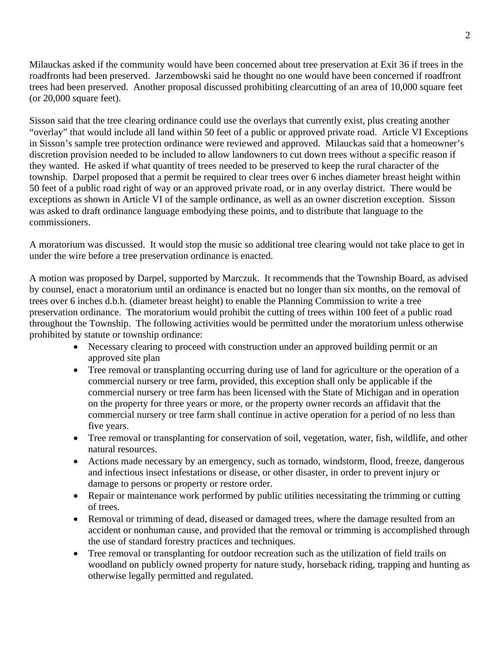Milauckas asked if the community would have been concerned about tree preservation at Exit 36 if trees in the roadfronts had been preserved. Jarzembowski said he thought no one would have been concerned if roadfront trees had been preserved. Another proposal discussed prohibiting clearcutting of an area of 10,000 square feet (or 20,000 square feet).

Sisson said that the tree clearing ordinance could use the overlays that currently exist, plus creating another "overlay" that would include all land within 50 feet of a public or approved private road. Article VI Exceptions in Sisson's sample tree protection ordinance were reviewed and approved. Milauckas said that a homeowner's discretion provision needed to be included to allow landowners to cut down trees without a specific reason if they wanted. He asked if what quantity of trees needed to be preserved to keep the rural character of the township. Darpel proposed that a permit be required to clear trees over 6 inches diameter breast height within 50 feet of a public road right of way or an approved private road, or in any overlay district. There would be exceptions as shown in Article VI of the sample ordinance, as well as an owner discretion exception. Sisson was asked to draft ordinance language embodying these points, and to distribute that language to the commissioners.

A moratorium was discussed. It would stop the music so additional tree clearing would not take place to get in under the wire before a tree preservation ordinance is enacted.

A motion was proposed by Darpel, supported by Marczuk. It recommends that the Township Board, as advised by counsel, enact a moratorium until an ordinance is enacted but no longer than six months, on the removal of trees over 6 inches d.b.h. (diameter breast height) to enable the Planning Commission to write a tree preservation ordinance. The moratorium would prohibit the cutting of trees within 100 feet of a public road throughout the Township. The following activities would be permitted under the moratorium unless otherwise prohibited by statute or township ordinance:

- Necessary clearing to proceed with construction under an approved building permit or an approved site plan
- Tree removal or transplanting occurring during use of land for agriculture or the operation of a commercial nursery or tree farm, provided, this exception shall only be applicable if the commercial nursery or tree farm has been licensed with the State of Michigan and in operation on the property for three years or more, or the property owner records an affidavit that the commercial nursery or tree farm shall continue in active operation for a period of no less than five years.
- Tree removal or transplanting for conservation of soil, vegetation, water, fish, wildlife, and other natural resources.
- Actions made necessary by an emergency, such as tornado, windstorm, flood, freeze, dangerous and infectious insect infestations or disease, or other disaster, in order to prevent injury or damage to persons or property or restore order.
- Repair or maintenance work performed by public utilities necessitating the trimming or cutting of trees.
- Removal or trimming of dead, diseased or damaged trees, where the damage resulted from an accident or nonhuman cause, and provided that the removal or trimming is accomplished through the use of standard forestry practices and techniques.
- Tree removal or transplanting for outdoor recreation such as the utilization of field trails on woodland on publicly owned property for nature study, horseback riding, trapping and hunting as otherwise legally permitted and regulated.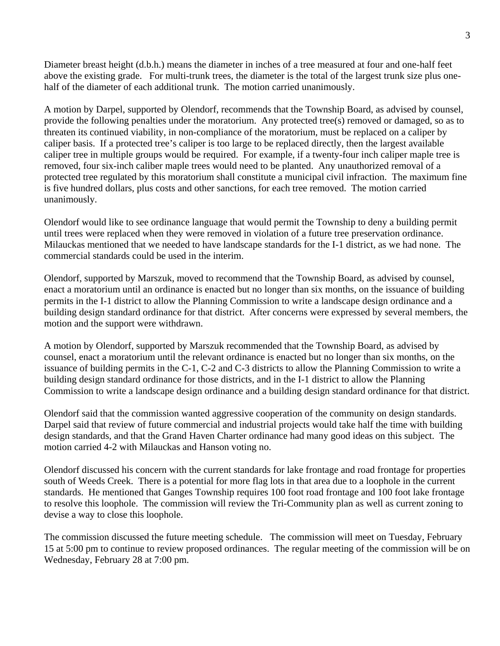Diameter breast height (d.b.h.) means the diameter in inches of a tree measured at four and one-half feet above the existing grade. For multi-trunk trees, the diameter is the total of the largest trunk size plus onehalf of the diameter of each additional trunk. The motion carried unanimously.

A motion by Darpel, supported by Olendorf, recommends that the Township Board, as advised by counsel, provide the following penalties under the moratorium. Any protected tree(s) removed or damaged, so as to threaten its continued viability, in non-compliance of the moratorium, must be replaced on a caliper by caliper basis. If a protected tree's caliper is too large to be replaced directly, then the largest available caliper tree in multiple groups would be required. For example, if a twenty-four inch caliper maple tree is removed, four six-inch caliber maple trees would need to be planted. Any unauthorized removal of a protected tree regulated by this moratorium shall constitute a municipal civil infraction. The maximum fine is five hundred dollars, plus costs and other sanctions, for each tree removed. The motion carried unanimously.

Olendorf would like to see ordinance language that would permit the Township to deny a building permit until trees were replaced when they were removed in violation of a future tree preservation ordinance. Milauckas mentioned that we needed to have landscape standards for the I-1 district, as we had none. The commercial standards could be used in the interim.

Olendorf, supported by Marszuk, moved to recommend that the Township Board, as advised by counsel, enact a moratorium until an ordinance is enacted but no longer than six months, on the issuance of building permits in the I-1 district to allow the Planning Commission to write a landscape design ordinance and a building design standard ordinance for that district. After concerns were expressed by several members, the motion and the support were withdrawn.

A motion by Olendorf, supported by Marszuk recommended that the Township Board, as advised by counsel, enact a moratorium until the relevant ordinance is enacted but no longer than six months, on the issuance of building permits in the C-1, C-2 and C-3 districts to allow the Planning Commission to write a building design standard ordinance for those districts, and in the I-1 district to allow the Planning Commission to write a landscape design ordinance and a building design standard ordinance for that district.

Olendorf said that the commission wanted aggressive cooperation of the community on design standards. Darpel said that review of future commercial and industrial projects would take half the time with building design standards, and that the Grand Haven Charter ordinance had many good ideas on this subject. The motion carried 4-2 with Milauckas and Hanson voting no.

Olendorf discussed his concern with the current standards for lake frontage and road frontage for properties south of Weeds Creek. There is a potential for more flag lots in that area due to a loophole in the current standards. He mentioned that Ganges Township requires 100 foot road frontage and 100 foot lake frontage to resolve this loophole. The commission will review the Tri-Community plan as well as current zoning to devise a way to close this loophole.

The commission discussed the future meeting schedule. The commission will meet on Tuesday, February 15 at 5:00 pm to continue to review proposed ordinances. The regular meeting of the commission will be on Wednesday, February 28 at 7:00 pm.